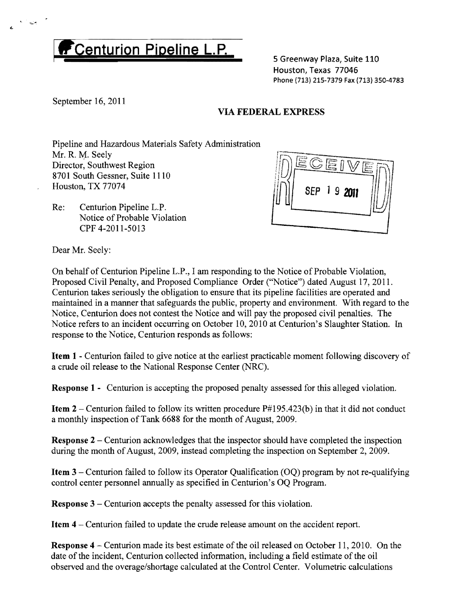## **Centurion Pipeline L.P.**

5 Greenway Plaza, Suite 110 Houston, Texas 77046 Phone (713) 215-7379 Fax (713) 350-4783

September 16,2011

جمته ا

## VIA FEDERAL EXPRESS

Pipeline and Hazardous Materials Safety Administration Mr. R. M. Seely Director, Southwest Region 8701 South Gessner, Suite 1110 Houston, TX 77074

Re: Centurion Pipeline L.P. Notice of Probable Violation CPF 4-2011-5013



Dear Mr. Seely:

On behalf of Centurion Pipeline L.P., I am responding to the Notice of Probable Violation, Proposed Civil Penalty, and Proposed Compliance Order ("Notice") dated August 17,2011. Centurion takes seriously the obligation to ensure that its pipeline facilities are operated and maintained in a manner that safeguards the public, property and environment. With regard to the Notice, Centurion does not contest the Notice and will pay the proposed civil penalties. The Notice refers to an incident occurring on October 10,2010 at Centurion's Slaughter Station. In response to the Notice, Centurion responds as follows:

Item 1 - Centurion failed to give notice at the earliest practicable moment following discovery of a crude oil release to the National Response Center (NRC).

Response 1 - Centurion is accepting the proposed penalty assessed for this alleged violation.

**Item 2** – Centurion failed to follow its written procedure  $P#195.423(b)$  in that it did not conduct a monthly inspection of Tank 6688 for the month of August, 2009.

**Response 2** – Centurion acknowledges that the inspector should have completed the inspection during the month of August, 2009, instead completing the inspection on September 2, 2009.

**Item 3** – Centurion failed to follow its Operator Qualification  $(OQ)$  program by not re-qualifying control center personnel annually as specified in Centurion's OQ Program.

Response 3 - Centurion accepts the penalty assessed for this violation.

Item 4 - Centurion failed to update the crude release amount on the accident report.

**Response 4** – Centurion made its best estimate of the oil released on October 11, 2010. On the date of the incident, Centurion collected information, including a field estimate of the oil observed and the overage/shortage calculated at the Control Center. Volumetric calculations